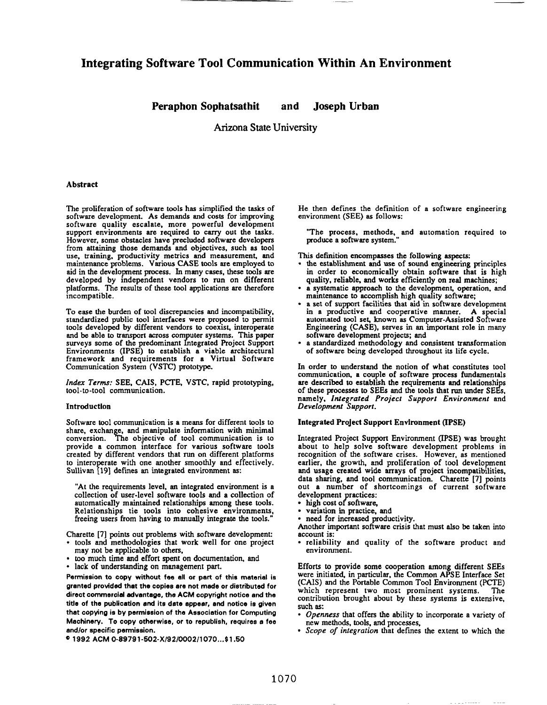# **Integrating Software Tool Communication Within An Environment**

## **Peraphon Sophatsathit and Joseph Urban**

Arizona State University

## **Abstract**

The proliferation of software tools has simplified the tasks of software development. As demands and costs for improving software quality escalate, more powerful development support environments are required to carry out the tasks. However, some obstacles have precluded software developers from attaining those demands and objectives, such as tool use, training, productivity metrics and measurement, and maintenance problems. Various CASE tools are employed to aid in the development process. In many cases, these tools are developed by independent vendors to run *on* different platforms. The results of these tool applications are therefore incompatible.

To ease the burden of tool discrepancies and incompatibility, standardized public tool interfaces were proposed to permit tools developed by different vendors to coexist, interoperate surveys some of the predominant Integrated Project Support and be able to transport across computer systems. This paper Environments (IPSE) to establish a viable architectural framework and requirements for a Virtual Software Communication System (VSTC) prototype.

*Index Terms:* SEE, CAIS, PCfE, VSTC, rapid prototyping, tool-to-tool communication.

### **Introduction**

**Software tool communication is a means for different tools to share, exchrm e, and manipulate information with minimal conversion. he objective of tool communication is to provide a common interface for various software tools created by different vendors that run on different platforms to intero rate with** one *snother* smoothly and effectively. Sullivan [19] defines an integrated environment as:

"At the requirements level, an integrated environment is a collection **of** user-level software tools and a collection of automatically maintained relationships among these tools. Relationships tie tools into cohesive environments, freeing users from having to manually integrate the tools."

Chsrette [7] points out problems with software development:

- tools and methodologies that work well for one project may not be applicable to others,
- too much time and effort spent on documentation, and
- lack of understanding on management part.

**Permission to copy without fee all or part of this material is granted provided that the copiee are not made or distributed for direct commercial advantage, the ACM ccpyright notice and the title of tha publication and ite date appear, and notice ie given that copying is by permission of tha Association for Computing Machinery. To copy otherwiea, cr to republish, requiree a fee andlor epecific parmiseion.**

**01992 ACM 0.89791 .502. X/92/0002 /1070 ...\$l .50**

He then defines the definition of a software engineering environment (SEE) as follows:

"The process, methods, and automation required to produce a software system."

This definition encompasses the following aspects:<br>• the establishment and use of sound engineering p

- the establishment and use of sound engineering principles in order to economically obtain software that is high quality, reliable, and works efficiently on real machines;
- · a systematic approach to the development, operation, and maintenance to accomplish high quality softwae;
- a set of support facilities that aid in software developmen in a productive and cooperative manner. A special automated tool set, known as Computer-Assisted Software Engineering (CASE), serves in an important role in many software development projects; and
- ✎ a standardized methodology and consistent transformation of software being developed throughout its life cycle.

In order to understand the notion of what constitutes tool communication, a couple of software process fundamentals are described to establish the requirements and relationships of these processes to SEEs and the tools that run under SEEs, namely, *Integrated Project Support Environment* and *Development Support.*

#### **Integrated Project Support Environment** (IPSE)

Integrated Project Support Environment (IPSE) was brought about to help solve software development problems in recognition of the software crises. However, as mentioned earlier, the growth, and proliferation of tool development and usage created wide arrays of project incompatibilitie data sharing, and tool communication. Charette [7] points out a number of shortcomings of current softwar development practices:

- high cost of software.
- variation in practice, and
- need for increased productivity.

Another important software crisis that must also be taken into account is:

• reliability and quality of the software product and environment.

Efforts to provide some cooperation among different SEES were initiated, in particular, the Common APSE Interface Set (CAIS) and the Portable Common Tool Environment (PCTE) which represent two most prominent systems. The contribution brought about by these systems is extensive, such as:

- *Openness* **that** offers the ability to incorporate a variety of new methods, tools, and processes,
- *Scope of integration* that defines the extent to which the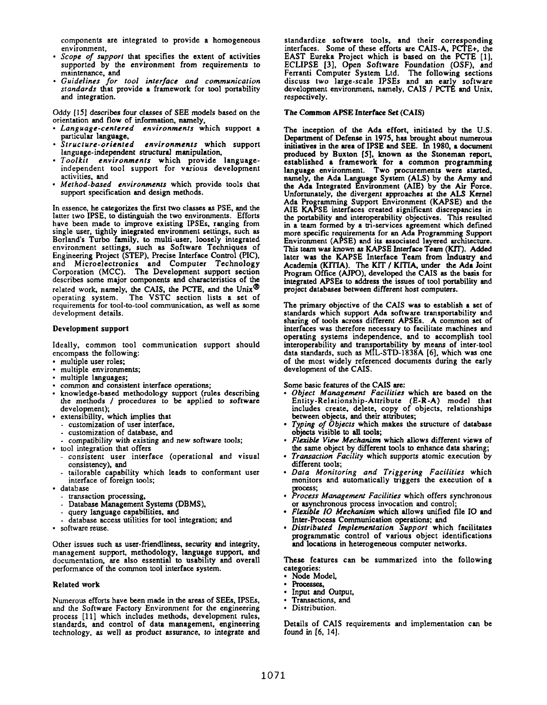components are integrated to provide a homogeneous environment,

- *Scope of support* that specifies the extent of activities supported by the environment *from* **requirements to maintenance, and**
- *Guidelines for tool interface and* communication *standards* that provide a framework for tool portability and integration.

Oddy [15] describes four classes of SEE models based on the orientation and flow of information, namely,

- *Language-centered environments* which support a particular language,<br>Structure-oriented
- 9 *Structure-oriented environments* which support language-independent structural manipulation,
- *Toolkit* environments which provide languageindependent tool support for various development activities, and
- *Method-based* **environments** which provide tools that support specification and design methods.

In essence, he categorizes the fust two classes as PSE, and the latter two IPSE, to distinguish the two environments. Efforts have been made to improve existing IPSES, ranging from single user, tightly integrated environment settings, such as Borland's Turbo family, to multi-user, loosely integrated environment **settings,** such as Software Techniques of Engineering Project (STEP), Precise Interface Control (PIC), and Microelectronics and Computer Technology Corporation (MCC). The Development support section describes some major components and characteristics of the related work, namely, the CAIS, the PCTE, and the Unix" operating system. The VSTC section lists a set of requirements for tool-to-tool communication, as well as some development details.

### Development support

Ideally, common tool communication support should encompass the following:

- c multiple user roles;
- multiple environments;
- multiple languages;
- common and consistent interface operations;
- knowledge-based methodology support (rules describing the methods / procedures to be applied to software development);
- extensibility, which implies that
	- customization of user interface,
	- customization of database, and
- compatibility with existing and *new* software tools;
- tool integration that offers
	- consistent user interface (operational and visuaI consistency), and
	- tailorable capability which leads to conforrnant user interface of foreign tools;
- database
	- transaction processing,
	- Database Management Systems (DBMS),
	- query language capabilities, and
	- database access utilities for tool integration; and
- software reuse.

Other issues such as user-friendliness, security and integrity, management support, methodology, language support, and documentation, are also essential to usability and overall performance of the common tool interface system.

## Related work

Numerous efforts have been made in the areas of SEES, IPSES, and the Software Factory Environment for the engineering process [11] which includes methods, development rules, standards, and control of data management, engineering technology, as well as product assurance, to integrate and

standardize software tools, and their corresponding interfaces. Some of these efforts are CAIS-A, PCI'E+, the EAST Eureka Project which is based on the PCTE [1], ECLIPSE [3], Open Software Foundation (OSF), and Ferranti Computer System Ltd. The following sections discuss two large-scale IPSEs and an early software development environment, namely, CAIS / PCTÉ and Unix, respectively.

## The Common APSE Interface Set (CAIS)

The inception of the Ada effort, initiated by the U.S. Department of Defense in 1975, has brought about numerous initiatives in the area of IPSE and SEE. In 1980, a document produced by Buxton  $[5]$ , known as the Stoneman report, established a framework for a common programming language environment. Two procurements were started, namely, the Ada Language System (ALS) by the Army and the Ada Integrated Environment (AIE) by the Air Force. Unfortunately, the divergent approaches at the ALS Kernel Ada Programming Support Environment (KAPSE) and the AIE KAPSE interfaces created significant discrepancies in the portability and interoperability objectives. This resulted in a team formed by a tri-services agreement which defined more specific requirements for an Ada Programming Support **7** Environment **(A SE) and its associated layered architecture. This team** was known as KAPSE Interface Team (KIT). Added later was the KAPSE Interface Team from Industry and Academia (KITIA). The KJT / KITfA, under the Ada Joint Program Office (AJPO), developed the CAIS as the basis for integrated APSEs to address the issues of tool portability and project databases between different host computers.

The primary objective of the CAIS was to establish a set of standards which support Ada software transportability and sharing of tools across different APSES. A common set of interfaces was therefore necessary to facilitate machines and operating systems independence, and to accomplish tool interoperability and transportability by means of inter-tool data standards, such as MIL-STD-1838A [6], which was one of the most widely referenced documents during the early development of the CAIS.

Some basic features of the CAIS are:

- *Object Management* Facilities which are based on the Entity -Relationship-Attribute (E-R-A) model that includes create, delete, copy of objects, relationships between objects, and their attributes;
- *Typing of Objects* which makes the structure of database objects visible to all tools;
- *Flaible View Mechanism* which allows different views of the same object by different tools to enhance data sharing;
- *Transaction Facility* which supports atomic execution by different tools;
- *Data Monitoring and* Triggering *Facilities* which monitors and automatically triggers the execution of a process;
- *~~~ Management Facilities* which offers synchronous or asynchronous process invocation and control;
- Flexible *IO* Mechanism which allows unified file IO and Inter-Process Communication operations; and
- *Distributed Implementation Support* which facilitates programmatic control of various object identifications and locations in heterogeneous computer networks.

**These features can be summarized into the following categories:**

- Node Model,
- **Processes,**
- **Input and Output,**
- **Transactions, and**
- **Distribution.**

Details of CAIS requirements and implementation can be found in [6, 14].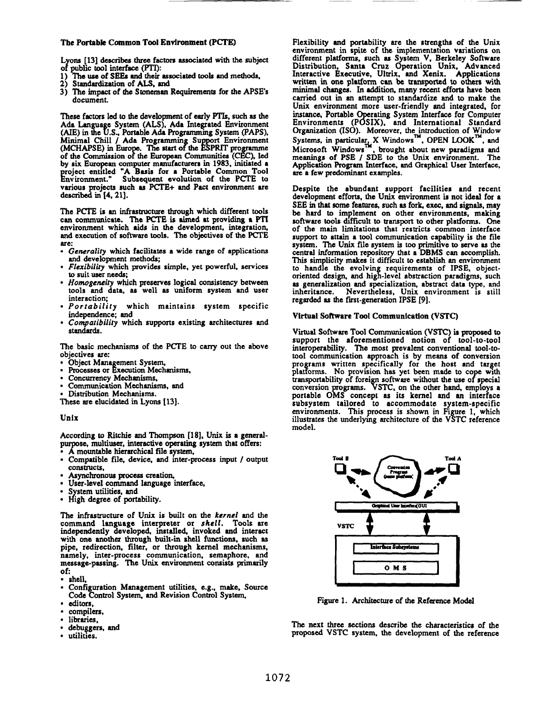## The Portable Common Tool Environment (PCTE)

Lyons [13] describes three factors associated with the subject of public tool interface (PTI):

- 1) The use of SEEs and their associated tools and methods,<br>2) Standardization of ALS, and
- 
- 3) The impact of the Stoneman Requirements for the APSE's document.

These factors led to the development of early PTIs, such as the Ada Language System (ALS), Ada Integrated Environment<br>(AIE) in the U.S., Portable Ada Programming System (PAPS),<br>Minimal Chill / Ada Programming Support Environment<br>(MCHAPSE) in Europe. The start of the ESPRIT programme of the Commission of the European Communities (CEC), led<br>by six European computer manufacturers in 1983, initiated a project entitled "A Basis for a Portable Common Tool<br>Environment." Subsequent evolution of the PCTF to various projects such as PCTE+ and Pact environment are described in [4, 21].

The PCTE is an infrastructure through which different tools can communicate. The PCTE is aimed at providing a PTI environment which aids in the development, integration, and execution of software tools. The objectives of the PCTE are:

- · Generality which facilitates a wide range of applications and development methods:
- · Flexibility which provides simple, yet powerful, services to suit user needs;
- · Homogeneity which preserves logical consistency between tools and data, as well as uniform system and user interaction;
- · Portability which maintains system specific independence; and
- · Compatibility which supports existing architectures and standards.

The basic mechanisms of the PCTE to carry out the above objectives are:

- 
- Object Management System,<br>Processes or Execution Mechanisms,
- Concurrency Mechanisms,
- Communication Mechanisms, and
- **Distribution Mechanisms.**

These are elucidated in Lyons [13].

#### Unix

According to Ritchie and Thompson [18], Unix is a generalpurpose, multiuser, interactive operating system that offers:

- A mountable hierarchical file system,
- Compatible file, device, and inter-process input / output constructs,
- Asynchronous process creation,
- · User-level command language interface,
- System utilities, and
- High degree of portability.

The infrastructure of Unix is built on the kernel and the command language interpreter or shell. Tools are independently developed, installed, invoked and interact with one another through built-in shell functions, such as pipe, redirection, filter, or through kernel mechanisms, namely, inter-process communication, semaphore, and<br>message-passing. The Unix environment consists primarily of:

- shell.
- Configuration Management utilities, e.g., make, Source Code Control System, and Revision Control System,
- editors,
- compilers,
- libraries,
- debuggers, and
- $\bullet$ utilities.

Flexibility and portability are the strengths of the Unix environment in spite of the implementation variations on different platforms, such as System V, Berkeley Software<br>Distribution, Santa Cruz Operation Unix, Advanced<br>Interactive Executive, Ultrix, and Xenix. Applications written in one platform can be transported to others with minimal changes. In addition, many recent efforts have been carried out in an attempt to standardize and to make the Unix environment more user-friendly and integrated, for Unix environment information System Interface for Computer<br>Environments (POSIX), and International Standard<br>Organization (ISO). Moreover, the introduction of Window<br>Systems, in particular, X Windows ", OPEN LOOK", and<br>Micr Application Program Interface, and Graphical User Interface, are a few predominant examples.

Despite the abundant support facilities and recent development efforts, the Unix environment is not ideal for a SEE in that some features, such as fork, exec, and signals, may be hard to implement on other environments, making software tools difficult to transport to other platforms. One of the main limitations that restricts common interface support to attain a tool communication capability is the file system. The Unix file system is too primitive to serve as the central information repository that a DBMS can accomplish. This simplicity makes it difficult to establish an environment to handle the evolving requirements of IPSE, object-<br>oriented design, and high-level abstraction paradigms, such as generalization and specialization, abstract data type, and inheritance. Nevertheless, Unix environment is still<br>regarded as the first-generation IPSE [9].

#### Virtual Software Tool Communication (VSTC)

Virtual Software Tool Communication (VSTC) is proposed to support the aforementioned notion of tool-to-tool interoperability. The most prevalent conventional tool-totool communication approach is by means of conversion from the second approach is by means of conversion<br>programs written specifically for the host and target<br>platforms. No provision has yet been made to cope with<br>transportability of foreign software without the use of specia subsystem tailored to accommodate system-specific environments. This process is shown in Figure 1, which illustrates the underlying architecture of the VSTC reference model.



Figure 1. Architecture of the Reference Model

The next three sections describe the characteristics of the proposed VSTC system, the development of the reference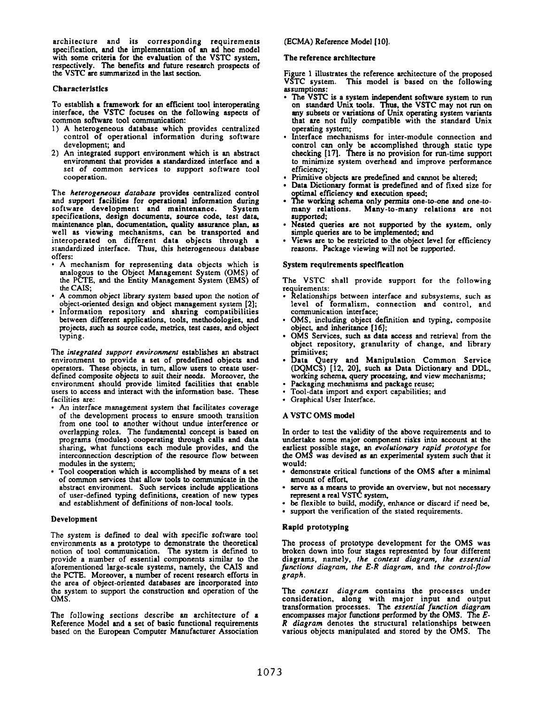architecture and its corresponding requirements specification, and the implementation of an ad hoc model with some criteria for the evaluation of the VSTC system, respectively. The benefits and future research prospects of the VSTC are summarized in the last section.

#### Characteristics

To establish a framework for an efficient tool interoperating interface, the VSTC focuses on the following aspects of common software tool communication.

- 1) A heterogeneous database which provides centralized control of operational information during software development; and
- 2) An integrated support environment which is an abstract environment that provides a standardized interface and a set of *common* services to support software tool cooperation.

The heterogeneous *database* provides centralized control and support facilities for operational information during<br>software development and maintenance. System software development and maintenance. specifications, design documents, source code, test data maintenance plan, documentation, quality assurance plan, as well as viewing mechanisms, can be transported and interoperated on different data objects through a standardized interface. Thus, this heterogeneous database offers:

- . A mechanism for representing data objects which is analogous to the Object Management System (OMS) of the PCTE, and the Entity Management System (EMS) of the CAIS;
- , A common object library *system* based *upon the notion* of object-oriented design and object management system [2];
- Information repository and sharing compatibilit between different applications, tools. methodologies, and projects, such as source code, metrics, test cases, and object typing,

*The integrated support environment* establishes an abstract environment to provide a set of predefined objects and operators. These objects, in turn, allow users to create userdefined *composite* objects to suit their needs. Moreover, the environment should provide limited facilities that enable users to access and interact with the information base. These facilities are:

- An interface management system that facilitates coverage of the development process to ensure smooth transition from one tool to another without undue interference or overlapping roles. The fundamental concept is based on programs (modules) cooperating through calls and data sharing, what functions each module provides, and the interconnection description of the **resource flow** between modules in the system;
- Tool cooperation which is accomplished by means of a set of common services that aflow tools to communicate in the abstract environment. Such services include applications of user-defiied typing definitions, creation of new types and establishment of definitions of non-local tools.

#### **Development**

The system is defined to deal with specific software tool environments as a prototype to demonstrate the theoretical notion of tool communication. The system is defined to provide a number of essential components similar to the aforementioned large-scale systems, namely, the CAIS and the PCTE. Moreover, a number of recent research efforts in the area of object-oriented databases are incorporated into the system to support the construction and operation of the OMS.

The following sections describe an architecture of a Reference Model and a set of basic functional requirements based on the European Computer Manufacturer Association

## (ECMA) Reference Model [10].

#### **The reference architecture**

**Figure 1 illustrates the reference architecture of the proposed VSTC system. This model is based on the following** assumptions:

- The VSTC is a system independent software system to run on standard Unix tools. Thus, the VSTC may not run on any subsets or variations of Unix operating system variants that are not fully compatible with the standard Unix operating system;
- . Interface mechanisms for inter-module connection and control can only be accomplished through static type checking [17]. fiere is no provision for run-time support to minimize system overhead and improve performance efficiency;
- Primitive objects are predefined and cannot be altered;
- ✎ Data Dictionary format is predefined and of fixed size for optimal efficiency and execution spe
- . The working schema only permits one-to-one and one-to many relations. Many-to-many relations are not supported;
- . Nested queries are not supported by the system, only simple queries are to be implemented; and
- Views are to be restricted to the object level for efficiency reasons. Package viewing will **not be** supported.

#### **System requirements speclflcatlon**

The VSTC shall provide support for the following requirements:

- Relationships between interface and subsystems, such as level of formalism, connection and control, and communication interface,
- . OMS, including object definition and typing, composite object, and inheritance [16];
- . OMS Services, such as data access and retrieval from the object repository, granularity of change, and library
- · Data Query and Manipulation Common Servic (DQMCS) [12, 20], such as Data Dictionary and DDL, working schema query *pcessing,* and view mechanisms;
- . Packaging mechanisms and package reuse;
- . Tool-data import and export capabilities; and
- Graphical User Interface

#### **A VSTC OMS model**

In order to test the validity of the above requirements and to undertake some major component risks into **account at the earliest ssible stage, an** *evolutionary rapid prototype* for the OMS was devised as an experimental system such that it would:

- demonstrate critical functions of the OMS after a minimal amount of effort,
- serve as a means to provide an overview, but not necessary represent a real VSTC system,
- be flexible to build, modify, enhance or discard if need be,
- support the verification of the stated requirements.

#### **Rapid prototyplng**

**The process of prototype development for the OMS was broken down into four stages represented by four different diagrams, namely,** *the* context *diagram, the essential ~r~~~ diagram, the E-R diagram,* and the control-jlow graph.

*The context diagram* contains the processes under consideration, along with major input and outpu transformation processes. The *essential function diagram* **encompasses major functions performed by the OMS. The** *E-R diagram* **denotes the structural relationships between various objects manipulated and stored by the OMS. The**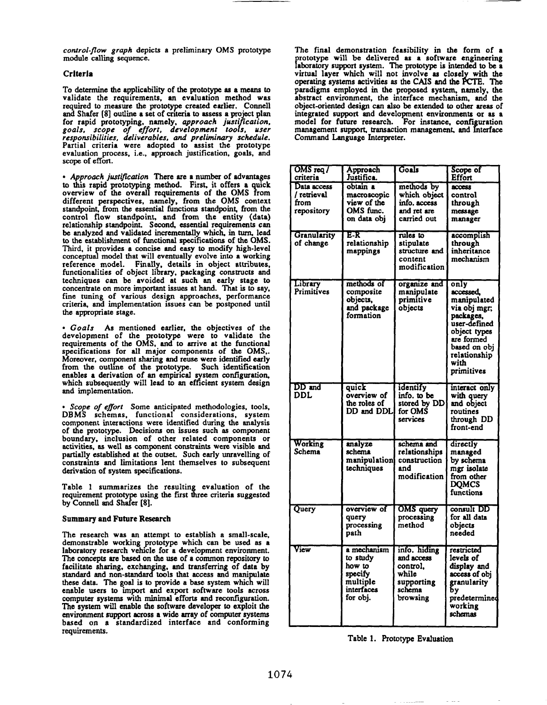*control-flow graph* depicts a **preliminary OMS prototype module calliig sequence.**

#### **Crlterla**

**To determine the applicability of the prototype as a means to validate the requirements, an evaluation** method was required to measure the prototype created earlier. Connell and Shafer [8] outliie **a** set **of crtteria to assess a project plan** for rapid prototyping, namely, *approach justi* **~cation, goals, scope of effort, development too [s, user responsibilities, deliverables, and preliminary schedule.** Partial criteria were adopted to assist the prototype evaluation process, i.e., approach justification, goals, and scope of effort.

• *Approach justification* There are a number of advantages to this rapid prototyping method. First, it offers a quick **overview of the overall requirements of the OMS 1rom different perspectives, namely, from the OMS context**  $s$ tandpoint, from the essential functions standpoint, from the control flow standpoint, and from the entity (data) relationship standpoint. Second, essential requirements can be analyzed and validated incrementally which, in turn, lead to the establishment of functional specifications of the OMS. Third, it provides a concise and easy to modify high-level conceptual model that will eventually evolve into a working reference model. Finally, details in object attributes, functionalities of object library, packaging constructs and techniques can be avoided at such an early stage to concentrate on more important issues at hand. That is to say, fine tuning of various design approaches, performanc criteria, and implementation issues can be postponed until the appropriate stage.

• Goals As mentioned earlier, the objectives of the development of the prototype were to validate the requirements of the OMS, and to arrive at the functional specifications for all major components of the **OMS,.** Moreover, component sharing and reuse were identified early from the outline of the prototype. Such identification enables a derivation of an empirical system configuration which subsequently will lead to an efficient system design and implementation.

● *Scope of effort* Some anticipated methodologies, tools, DBMS schemas, functional considerations, system component interactions were identified during the analysis of the prototype. Decisions on issues such as component boundary, inclusion of other related components or activities, as well as component constraints were visible and partially established at the outset. Such early unraveling of constraints and limitations lent themselves to subsequent derivation of system specifications.

Table 1 summarizes the resulting evaluation of the requirement prototype using the first three criteria suggested by Connell and Shafer [8].

#### Summary and Future Research

The research was an attempt to establish a small-scale, demonstrable working prototype which can be used as a laboratory research vehicle for a development environment. The concepts are based on the use of a common repository to facilitate sharing, exchanging, and transferring of data by standard and non-standard tools that access and manipulate these data. The goal is to provide a base system which will enable users to import and export software tools *across computer* systems with minimal efforts and reconfiguration. The system will enable the software developer to exploit the environment support across a wide array of computer systems based on a standardized interface and conforming requirements.

The final demonstration feasibility in the form of a laboratory support system. The prototype is intended to be a rototype will be delivered as a software engineerin virtual layer which will not involve as closely with the operating systems activities as the CAIS and the PCTE. The paradigms employed in the proposed system, namely, the abstract environment, the interface mechanism, and the object-oriented design can also be extended to other areas of integrated support and development environments or as a model for future research. For instance, configuration management support, transaction management, and Interface Command Language Interpreter.

| $OMS$ req $\overline{I}$<br>criteria             | Approach<br>Justifica.                                                             | Goals                                                                               | Scope of<br>Effort                                                                                                                                                |
|--------------------------------------------------|------------------------------------------------------------------------------------|-------------------------------------------------------------------------------------|-------------------------------------------------------------------------------------------------------------------------------------------------------------------|
| Data access<br>/ retrieval<br>from<br>repository | obtain a<br>macroscopic<br>view of the<br>OMS func.<br>on data obi                 | methods by<br>which object<br>info. access<br>and ret are<br>carried out            | access<br>control<br>through<br>message<br>manager                                                                                                                |
| Granularity<br>of change                         | E-R<br>relationship<br>mappings                                                    | rules to<br>stipulate<br>structure and<br>content<br>modification                   | accomplish<br>through<br>inheritance<br>mechanism                                                                                                                 |
| Library<br>Primitives                            | methods of<br>composite<br>objects,<br>and package<br>formation                    | organize and<br>manipulate<br>primitive<br>objects                                  | only<br>accessed,<br>manipulated<br>via obi mgr;<br>packages.<br>user-defined<br>object types<br>are formed<br>based on obj<br>relationship<br>with<br>primitives |
| DD and<br>DDL                                    | quick<br>overview of<br>the roles of<br>DD and DDL                                 | identify<br>info. to be<br>stored by DD<br>for OMS<br>services                      | interact only<br>with query<br>and object<br>routines<br>through DD<br>front-end                                                                                  |
| Working<br>Schema                                | analyze<br>schema<br>manipulation<br>techniques                                    | schema and<br>relationships<br>construction<br>and<br>modification                  | directly<br>managed<br>by schema<br>mgr isolate<br>from other<br><b>DOMCS</b><br>functions                                                                        |
| Query                                            | overview of<br>query<br>processing<br>path                                         | OMS query<br>processing<br>method                                                   | consult DD<br>for all data<br>objects<br>needed                                                                                                                   |
| View                                             | a mechanism<br>to study<br>how to<br>specify<br>multiple<br>interfaces<br>for obj. | info. hiding<br>and access<br>control.<br>while<br>supporting<br>schema<br>browsing | restricted<br>levels of<br>display and<br>access of obj<br>granularity<br>Бу<br>predetermined<br>.<br>working<br>schemas                                          |

Table 1. Prototype Evaluation